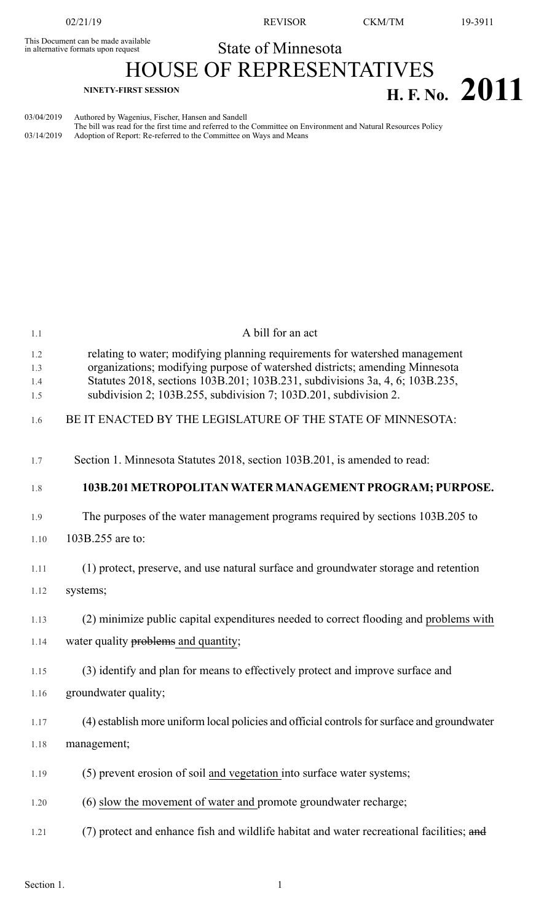This Document can be made available<br>in alternative formats upon request<br>
State of Minnesota in alternative formats upon request

02/21/19 REVISOR CKM/TM 19-3911

HOUSE OF REPRESENTATIVES **NINETY-FIRST SESSION H. F. No. 2011**

03/04/2019 Authored by Wagenius, Fischer, Hansen and Sandell The bill was read for the first time and referred to the Committee on Environment and Natural Resources Policy

03/14/2019 Adoption of Report: Re-referred to the Committee on Ways and Means

1.1 A bill for an act 1.2 relating to water; modifying planning requirements for watershed management 1.3 organizations; modifying purpose of watershed districts; amending Minnesota 1.4 Statutes 2018, sections 103B.201; 103B.231, subdivisions 3a, 4, 6; 103B.235, 1.5 subdivision 2; 103B.255, subdivision 7; 103D.201, subdivision 2. 1.6 BE IT ENACTED BY THE LEGISLATURE OF THE STATE OF MINNESOTA: 1.7 Section 1. Minnesota Statutes 2018, section 103B.201, is amended to read: 1.8 **103B.201 METROPOLITANWATER MANAGEMENTPROGRAM; PURPOSE.** 1.9 The purposes of the water management programs required by sections 103B.205 to 1.10 103B.255 are to: 1.11 (1) protect, preserve, and use natural surface and groundwater storage and retention 1.12 systems; 1.13 (2) minimize public capital expenditures needed to correct flooding and problems with 1.14 water quality problems and quantity; 1.15 (3) identify and plan for means to effectively protect and improve surface and 1.16 groundwater quality; 1.17 (4) establish more uniform local policies and official controlsforsurface and groundwater 1.18 management; 1.19 (5) prevent erosion of soil and vegetation into surface water systems; 1.20 (6) slow the movement of water and promote groundwater recharge; 1.21 (7) protect and enhance fish and wildlife habitat and water recreational facilities; and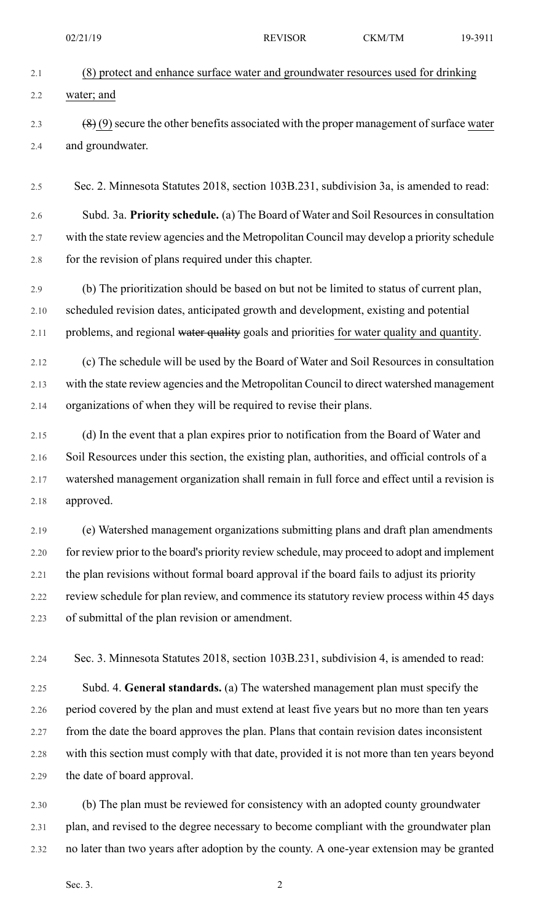|      | 02/21/19                                                                                    | <b>REVISOR</b> | <b>CKM/TM</b> | 19-3911 |
|------|---------------------------------------------------------------------------------------------|----------------|---------------|---------|
| 2.1  | (8) protect and enhance surface water and groundwater resources used for drinking           |                |               |         |
| 2.2  | water; and                                                                                  |                |               |         |
| 2.3  | $(8)(9)$ secure the other benefits associated with the proper management of surface water   |                |               |         |
| 2.4  | and groundwater.                                                                            |                |               |         |
| 2.5  | Sec. 2. Minnesota Statutes 2018, section 103B.231, subdivision 3a, is amended to read:      |                |               |         |
| 2.6  | Subd. 3a. Priority schedule. (a) The Board of Water and Soil Resources in consultation      |                |               |         |
| 2.7  | with the state review agencies and the Metropolitan Council may develop a priority schedule |                |               |         |
| 2.8  | for the revision of plans required under this chapter.                                      |                |               |         |
| 2.9  | (b) The prioritization should be based on but not be limited to status of current plan,     |                |               |         |
| 2.10 | scheduled revision dates, anticipated growth and development, existing and potential        |                |               |         |
| 2.11 | problems, and regional water quality goals and priorities for water quality and quantity.   |                |               |         |
| 2.12 | (c) The schedule will be used by the Board of Water and Soil Resources in consultation      |                |               |         |
| 2.13 | with the state review agencies and the Metropolitan Council to direct watershed management  |                |               |         |
| 2.14 | organizations of when they will be required to revise their plans.                          |                |               |         |
| 2.15 | (d) In the event that a plan expires prior to notification from the Board of Water and      |                |               |         |

2.16 Soil Resources under this section, the existing plan, authorities, and official controls of a 2.17 watershed management organization shall remain in full force and effect until a revision is 2.18 approved.

2.19 (e) Watershed management organizations submitting plans and draft plan amendments 2.20 for review prior to the board's priority review schedule, may proceed to adopt and implement 2.21 the plan revisions without formal board approval if the board fails to adjust its priority 2.22 review schedule for plan review, and commence its statutory review process within 45 days 2.23 of submittal of the plan revision or amendment.

2.24 Sec. 3. Minnesota Statutes 2018, section 103B.231, subdivision 4, is amended to read:

2.25 Subd. 4. **General standards.** (a) The watershed management plan must specify the 2.26 period covered by the plan and must extend at least five years but no more than ten years 2.27 from the date the board approves the plan. Plans that contain revision dates inconsistent 2.28 with this section must comply with that date, provided it is not more than ten years beyond 2.29 the date of board approval.

2.30 (b) The plan must be reviewed for consistency with an adopted county groundwater 2.31 plan, and revised to the degree necessary to become compliant with the groundwater plan 2.32 no later than two years after adoption by the county. A one-year extension may be granted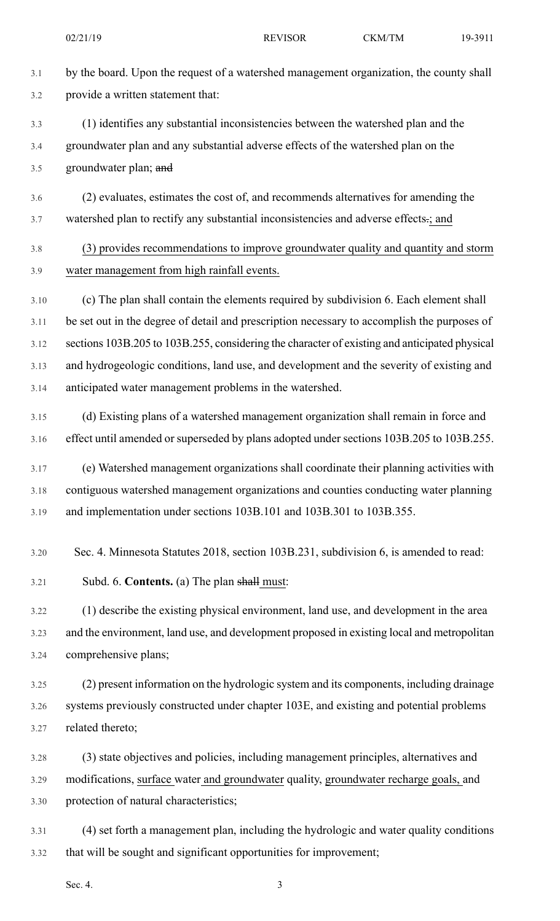3.1 by the board. Upon the request of a watershed management organization, the county shall 3.2 provide a written statement that:

3.3 (1) identifies any substantial inconsistencies between the watershed plan and the 3.4 groundwater plan and any substantial adverse effects of the watershed plan on the 3.5 groundwater plan; and

3.6 (2) evaluates, estimates the cost of, and recommends alternatives for amending the 3.7 watershed plan to rectify any substantial inconsistencies and adverse effects.; and

## 3.8 (3) provides recommendations to improve groundwater quality and quantity and storm 3.9 water management from high rainfall events.

3.10 (c) The plan shall contain the elements required by subdivision 6. Each element shall 3.11 be set out in the degree of detail and prescription necessary to accomplish the purposes of 3.12 sections 103B.205 to 103B.255, considering the character of existing and anticipated physical 3.13 and hydrogeologic conditions, land use, and development and the severity of existing and 3.14 anticipated water management problems in the watershed.

3.15 (d) Existing plans of a watershed management organization shall remain in force and 3.16 effect until amended or superseded by plans adopted under sections 103B.205 to 103B.255.

3.17 (e) Watershed management organizations shall coordinate their planning activities with 3.18 contiguous watershed management organizations and counties conducting water planning 3.19 and implementation under sections 103B.101 and 103B.301 to 103B.355.

3.20 Sec. 4. Minnesota Statutes 2018, section 103B.231, subdivision 6, is amended to read:

3.21 Subd. 6. **Contents.** (a) The plan shall must:

3.22 (1) describe the existing physical environment, land use, and development in the area 3.23 and the environment, land use, and development proposed in existing local and metropolitan 3.24 comprehensive plans;

3.25 (2) present information on the hydrologic system and its components, including drainage 3.26 systems previously constructed under chapter 103E, and existing and potential problems 3.27 related thereto;

3.28 (3) state objectives and policies, including management principles, alternatives and 3.29 modifications, surface water and groundwater quality, groundwater recharge goals, and 3.30 protection of natural characteristics;

3.31 (4) set forth a management plan, including the hydrologic and water quality conditions 3.32 that will be sought and significant opportunities for improvement;

Sec. 4.  $\qquad \qquad \qquad$  3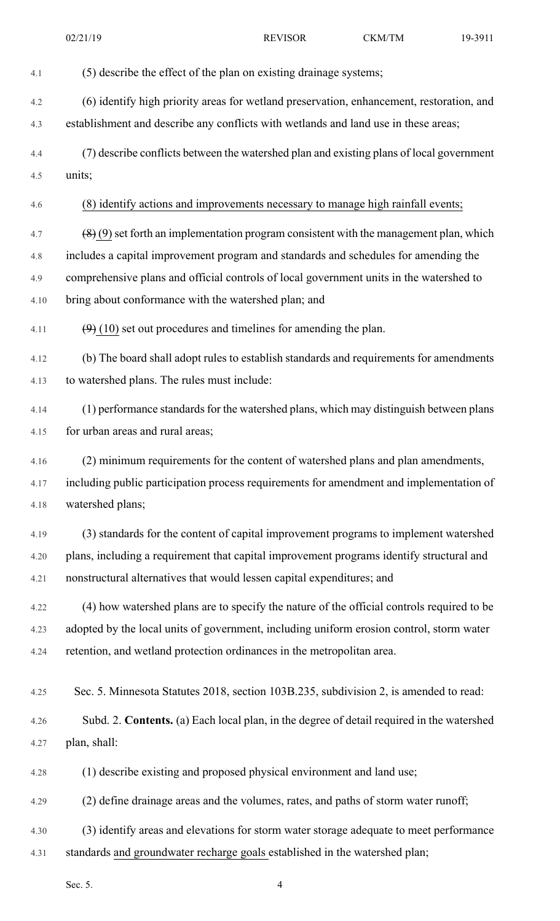4.1 (5) describe the effect of the plan on existing drainage systems; 4.2 (6) identify high priority areas for wetland preservation, enhancement, restoration, and 4.3 establishment and describe any conflicts with wetlands and land use in these areas; 4.4 (7) describe conflicts between the watershed plan and existing plans of local government 4.5 units; 4.6 (8) identify actions and improvements necessary to manage high rainfall events; 4.7  $(8)(9)$  set forth an implementation program consistent with the management plan, which 4.8 includes a capital improvement program and standards and schedules for amending the 4.9 comprehensive plans and official controls of local government units in the watershed to 4.10 bring about conformance with the watershed plan; and 4.11  $(9)$  (10) set out procedures and timelines for amending the plan. 4.12 (b) The board shall adopt rules to establish standards and requirements for amendments 4.13 to watershed plans. The rules must include: 4.14 (1) performance standards for the watershed plans, which may distinguish between plans 4.15 for urban areas and rural areas; 4.16 (2) minimum requirements for the content of watershed plans and plan amendments, 4.17 including public participation process requirements for amendment and implementation of 4.18 watershed plans; 4.19 (3) standards for the content of capital improvement programs to implement watershed 4.20 plans, including a requirement that capital improvement programs identify structural and 4.21 nonstructural alternatives that would lessen capital expenditures; and 4.22 (4) how watershed plans are to specify the nature of the official controls required to be 4.23 adopted by the local units of government, including uniform erosion control, storm water 4.24 retention, and wetland protection ordinances in the metropolitan area. 4.25 Sec. 5. Minnesota Statutes 2018, section 103B.235, subdivision 2, is amended to read: 4.26 Subd. 2. **Contents.** (a) Each local plan, in the degree of detail required in the watershed 4.27 plan, shall: 4.28 (1) describe existing and proposed physical environment and land use; 4.29 (2) define drainage areas and the volumes, rates, and paths of storm water runoff; 4.30 (3) identify areas and elevations for storm water storage adequate to meet performance 4.31 standards and groundwater recharge goals established in the watershed plan; 02/21/19 REVISOR CKM/TM 19-3911

Sec. 5.  $\qquad \qquad \text{4}$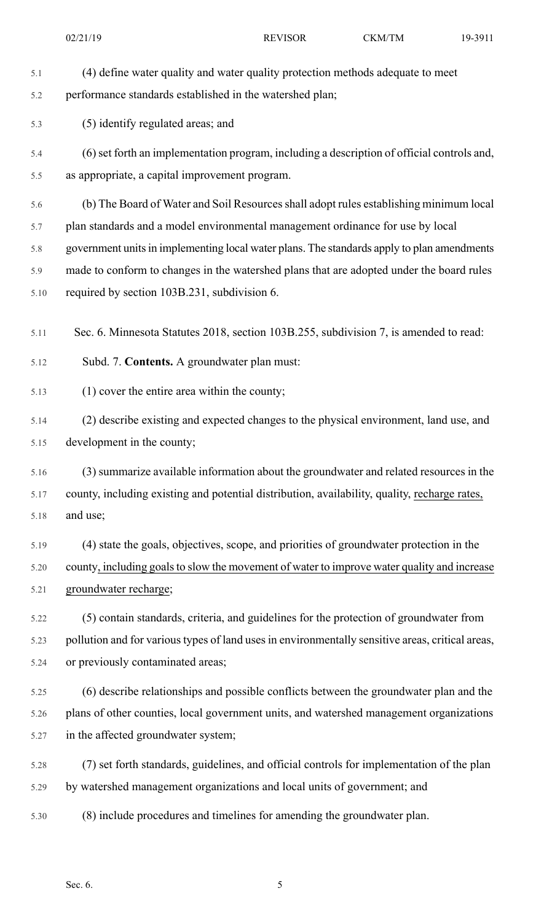| 5.1  | (4) define water quality and water quality protection methods adequate to meet                   |
|------|--------------------------------------------------------------------------------------------------|
| 5.2  | performance standards established in the watershed plan;                                         |
| 5.3  | (5) identify regulated areas; and                                                                |
| 5.4  | (6) set forth an implementation program, including a description of official controls and,       |
| 5.5  | as appropriate, a capital improvement program.                                                   |
| 5.6  | (b) The Board of Water and Soil Resources shall adopt rules establishing minimum local           |
| 5.7  | plan standards and a model environmental management ordinance for use by local                   |
| 5.8  | government units in implementing local water plans. The standards apply to plan amendments       |
| 5.9  | made to conform to changes in the watershed plans that are adopted under the board rules         |
| 5.10 | required by section 103B.231, subdivision 6.                                                     |
| 5.11 | Sec. 6. Minnesota Statutes 2018, section 103B.255, subdivision 7, is amended to read:            |
| 5.12 | Subd. 7. Contents. A groundwater plan must:                                                      |
| 5.13 | $(1)$ cover the entire area within the county;                                                   |
| 5.14 | (2) describe existing and expected changes to the physical environment, land use, and            |
| 5.15 | development in the county;                                                                       |
| 5.16 | (3) summarize available information about the groundwater and related resources in the           |
| 5.17 | county, including existing and potential distribution, availability, quality, recharge rates,    |
| 5.18 | and use;                                                                                         |
| 5.19 | (4) state the goals, objectives, scope, and priorities of groundwater protection in the          |
| 5.20 | county, including goals to slow the movement of water to improve water quality and increase      |
| 5.21 | groundwater recharge;                                                                            |
| 5.22 | (5) contain standards, criteria, and guidelines for the protection of groundwater from           |
| 5.23 | pollution and for various types of land uses in environmentally sensitive areas, critical areas, |
| 5.24 | or previously contaminated areas;                                                                |
| 5.25 | (6) describe relationships and possible conflicts between the groundwater plan and the           |
| 5.26 | plans of other counties, local government units, and watershed management organizations          |
| 5.27 | in the affected groundwater system;                                                              |
| 5.28 | (7) set forth standards, guidelines, and official controls for implementation of the plan        |
| 5.29 | by watershed management organizations and local units of government; and                         |
| 5.30 | (8) include procedures and timelines for amending the groundwater plan.                          |
|      |                                                                                                  |